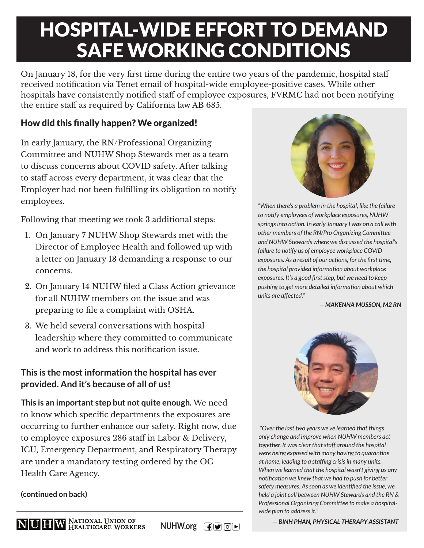# HOSPITAL-WIDE EFFORT TO DEMAND SAFE WORKING CONDITIONS

On January 18, for the very first time during the entire two years of the pandemic, hospital staff received notification via Tenet email of hospital-wide employee-positive cases. While other hospitals have consistently notified staff of employee exposures, FVRMC had not been notifying the entire staff as required by California law AB 685.

# How did this finally happen? We organized!

In early January, the RN/Professional Organizing Committee and NUHW Shop Stewards met as a team to discuss concerns about COVID safety. After talking to staff across every department, it was clear that the Employer had not been fulfilling its obligation to notify employees.

Following that meeting we took 3 additional steps:

- 1. On January 7 NUHW Shop Stewards met with the Director of Employee Health and followed up with a letter on January 13 demanding a response to our concerns.
- 2. On January 14 NUHW filed a Class Action grievance for all NUHW members on the issue and was preparing to file a complaint with OSHA.
- 3. We held several conversations with hospital leadership where they committed to communicate and work to address this notification issue.

# **This is the most information the hospital has ever provided. And it's because of all of us!**

**This is an important step but not quite enough.** We need to know which specific departments the exposures are occurring to further enhance our safety. Right now, due to employee exposures 286 staff in Labor & Delivery, ICU, Emergency Department, and Respiratory Therapy are under a mandatory testing ordered by the OC Health Care Agency.



*"When there's a problem in the hospital, like the failure to notify employees of workplace exposures, NUHW springs into action. In early January I was on a call with other members of the RN/Pro Organizing Committee and NUHW Stewards where we discussed the hospital's failure to notify us of employee workplace COVID exposures. As a result of our actions, for the first time, the hospital provided information about workplace*  exposures. It's a good first step, but we need to keep *pushing to get more detailed information about which units are affected."* 

*— MAKENNA MUSSON, M2 RN*



 *"Over the last two years we've learned that things only change and improve when NUHW members act together. It was clear that staff around the hospital were being exposed with many having to quarantine at home, leading to a staffi ng crisis in many units. When we learned that the hospital wasn't giving us any notifi cation we knew that we had to push for better*  safety measures. As soon as we identified the issue, we *held a joint call between NUHW Stewards and the RN & Professional Organizing Committee to make a hospitalwide plan to address it."* 

**(continued on back)**

**NUHW.org F**  $\bullet$  **O** 

*— BINH PHAN, PHYSICAL THERAPY ASSISTANT*